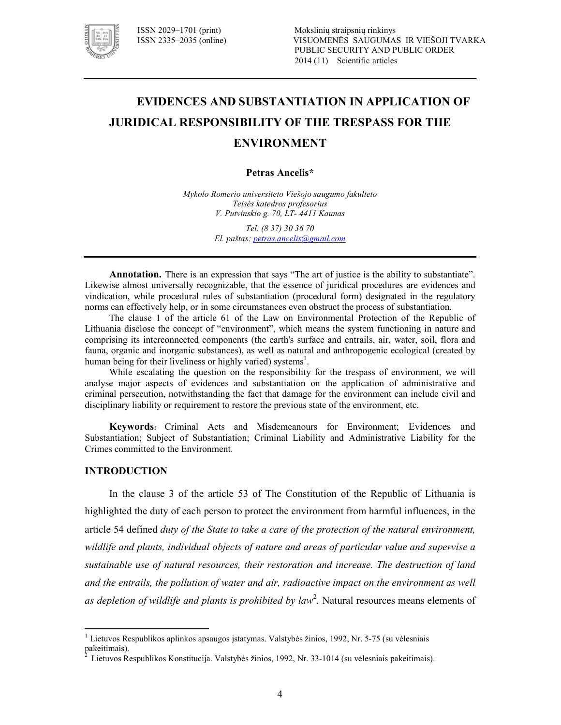

# **EVIDENCES AND SUBSTANTIATION IN APPLICATION OF JURIDICAL RESPONSIBILITY OF THE TRESPASS FOR THE ENVIRONMENT**

### **Petras Ancelis\***

*Mykolo Romerio universiteto Viešojo saugumo fakulteto Teisės katedros profesorius V. Putvinskio g. 70, LT! 4411 Kaunas* 

> *Tel. (8 37) 30 36 70 El. paštas: petras.ancelis@gmail.com*

**Annotation.** There is an expression that says "The art of justice is the ability to substantiate". Likewise almost universally recognizable, that the essence of juridical procedures are evidences and vindication, while procedural rules of substantiation (procedural form) designated in the regulatory norms can effectively help, or in some circumstances even obstruct the process of substantiation.

The clause 1 of the article 61 of the Law on Environmental Protection of the Republic of Lithuania disclose the concept of "environment", which means the system functioning in nature and comprising its interconnected components (the earth's surface and entrails, air, water, soil, flora and fauna, organic and inorganic substances), as well as natural and anthropogenic ecological (created by human being for their liveliness or highly varied) systems<sup>1</sup>.

While escalating the question on the responsibility for the trespass of environment, we will analyse major aspects of evidences and substantiation on the application of administrative and criminal persecution, notwithstanding the fact that damage for the environment can include civil and disciplinary liability or requirement to restore the previous state of the environment, etc.

**Keywords:** Criminal Acts and Misdemeanours for Environment; Evidences and Substantiation; Subject of Substantiation; Criminal Liability and Administrative Liability for the Crimes committed to the Environment.

### **INTRODUCTION**

 $\ddot{\phantom{a}}$ 

In the clause 3 of the article 53 of The Constitution of the Republic of Lithuania is highlighted the duty of each person to protect the environment from harmful influences, in the article 54 defined *duty of the State to take a care of the protection of the natural environment, wildlife and plants, individual objects of nature and areas of particular value and supervise a sustainable use of natural resources, their restoration and increase. The destruction of land and the entrails, the pollution of water and air, radioactive impact on the environment as well*  as depletion of wildlife and plants is prohibited by law<sup>2</sup>. Natural resources means elements of

<sup>&</sup>lt;sup>1</sup> Lietuvos Respublikos aplinkos apsaugos įstatymas. Valstybės žinios, 1992, Nr. 5-75 (su vėlesniais pakeitimais).<br><sup>2</sup> Lietuvos Pe

Lietuvos Respublikos Konstitucija. Valstybės žinios, 1992, Nr. 33-1014 (su vėlesniais pakeitimais).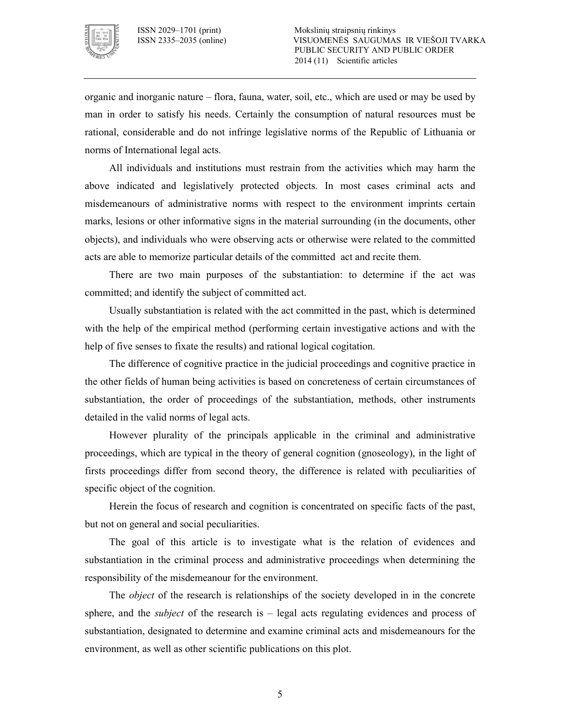

organic and inorganic nature – flora, fauna, water, soil, etc., which are used or may be used by man in order to satisfy his needs. Certainly the consumption of natural resources must be rational, considerable and do not infringe legislative norms of the Republic of Lithuania or norms of International legal acts.

All individuals and institutions must restrain from the activities which may harm the above indicated and legislatively protected objects. In most cases criminal acts and misdemeanours of administrative norms with respect to the environment imprints certain marks, lesions or other informative signs in the material surrounding (in the documents, other objects), and individuals who were observing acts or otherwise were related to the committed acts are able to memorize particular details of the committed act and recite them.

There are two main purposes of the substantiation: to determine if the act was committed; and identify the subject of committed act.

Usually substantiation is related with the act committed in the past, which is determined with the help of the empirical method (performing certain investigative actions and with the help of five senses to fixate the results) and rational logical cogitation.

The difference of cognitive practice in the judicial proceedings and cognitive practice in the other fields of human being activities is based on concreteness of certain circumstances of substantiation, the order of proceedings of the substantiation, methods, other instruments detailed in the valid norms of legal acts.

However plurality of the principals applicable in the criminal and administrative proceedings, which are typical in the theory of general cognition (gnoseology), in the light of firsts proceedings differ from second theory, the difference is related with peculiarities of specific object of the cognition.

Herein the focus of research and cognition is concentrated on specific facts of the past, but not on general and social peculiarities.

The goal of this article is to investigate what is the relation of evidences and substantiation in the criminal process and administrative proceedings when determining the responsibility of the misdemeanour for the environment.

The *object* of the research is relationships of the society developed in in the concrete sphere, and the *subject* of the research is – legal acts regulating evidences and process of substantiation, designated to determine and examine criminal acts and misdemeanours for the environment, as well as other scientific publications on this plot.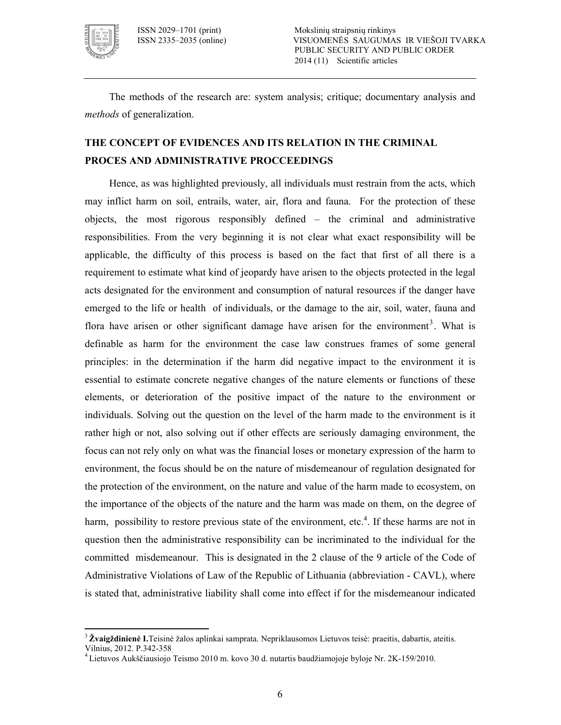

 $\ddot{\phantom{a}}$ 

The methods of the research are: system analysis; critique; documentary analysis and *methods* of generalization.

# **THE CONCEPT OF EVIDENCES AND ITS RELATION IN THE CRIMINAL PROCES AND ADMINISTRATIVE PROCCEEDINGS**

Hence, as was highlighted previously, all individuals must restrain from the acts, which may inflict harm on soil, entrails, water, air, flora and fauna. For the protection of these objects, the most rigorous responsibly defined – the criminal and administrative responsibilities. From the very beginning it is not clear what exact responsibility will be applicable, the difficulty of this process is based on the fact that first of all there is a requirement to estimate what kind of jeopardy have arisen to the objects protected in the legal acts designated for the environment and consumption of natural resources if the danger have emerged to the life or health of individuals, or the damage to the air, soil, water, fauna and flora have arisen or other significant damage have arisen for the environment<sup>3</sup>. What is definable as harm for the environment the case law construes frames of some general principles: in the determination if the harm did negative impact to the environment it is essential to estimate concrete negative changes of the nature elements or functions of these elements, or deterioration of the positive impact of the nature to the environment or individuals. Solving out the question on the level of the harm made to the environment is it rather high or not, also solving out if other effects are seriously damaging environment, the focus can not rely only on what was the financial loses or monetary expression of the harm to environment, the focus should be on the nature of misdemeanour of regulation designated for the protection of the environment, on the nature and value of the harm made to ecosystem, on the importance of the objects of the nature and the harm was made on them, on the degree of harm, possibility to restore previous state of the environment, etc.<sup>4</sup>. If these harms are not in question then the administrative responsibility can be incriminated to the individual for the committed misdemeanour. This is designated in the 2 clause of the 9 article of the Code of Administrative Violations of Law of the Republic of Lithuania (abbreviation CAVL), where is stated that, administrative liability shall come into effect if for the misdemeanour indicated

<sup>3</sup> **Žvaigždinienė I.**Teisinė žalos aplinkai samprata. Nepriklausomos Lietuvos teisė: praeitis, dabartis, ateitis. Vilnius, 2012. P.342-358.

<sup>&</sup>lt;sup>4</sup> Lietuvos Aukščiausiojo Teismo 2010 m. kovo 30 d. nutartis baudžiamojoje byloje Nr. 2K-159/2010.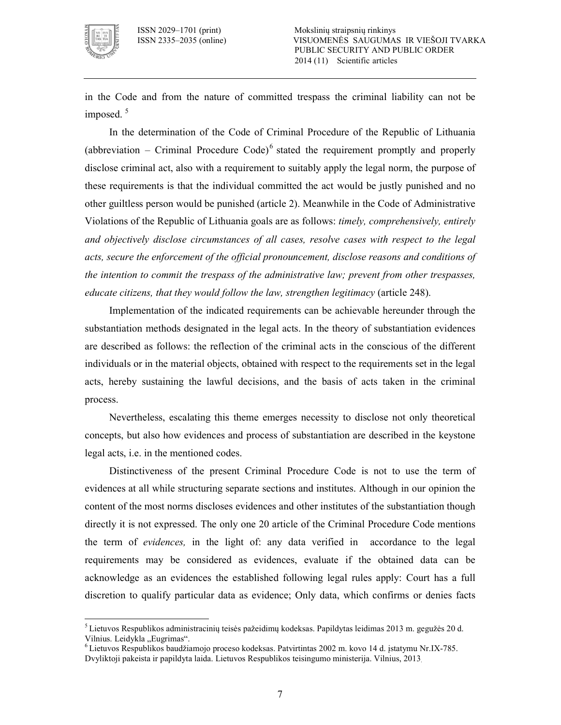

 $\overline{a}$ 

in the Code and from the nature of committed trespass the criminal liability can not be imposed.<sup>5</sup>

In the determination of the Code of Criminal Procedure of the Republic of Lithuania (abbreviation  $-$  Criminal Procedure Code)<sup>6</sup> stated the requirement promptly and properly disclose criminal act, also with a requirement to suitably apply the legal norm, the purpose of these requirements is that the individual committed the act would be justly punished and no other guiltless person would be punished (article 2). Meanwhile in the Code of Administrative Violations of the Republic of Lithuania goals are as follows: *timely, comprehensively, entirely and objectively disclose circumstances of all cases, resolve cases with respect to the legal acts, secure the enforcement of the official pronouncement, disclose reasons and conditions of the intention to commit the trespass of the administrative law; prevent from other trespasses, educate citizens, that they would follow the law, strengthen legitimacy* (article 248).

Implementation of the indicated requirements can be achievable hereunder through the substantiation methods designated in the legal acts. In the theory of substantiation evidences are described as follows: the reflection of the criminal acts in the conscious of the different individuals or in the material objects, obtained with respect to the requirements set in the legal acts, hereby sustaining the lawful decisions, and the basis of acts taken in the criminal process.

Nevertheless, escalating this theme emerges necessity to disclose not only theoretical concepts, but also how evidences and process of substantiation are described in the keystone legal acts, i.e. in the mentioned codes.

Distinctiveness of the present Criminal Procedure Code is not to use the term of evidences at all while structuring separate sections and institutes. Although in our opinion the content of the most norms discloses evidences and other institutes of the substantiation though directly it is not expressed. The only one 20 article of the Criminal Procedure Code mentions the term of *evidences,* in the light of: any data verified in accordance to the legal requirements may be considered as evidences, evaluate if the obtained data can be acknowledge as an evidences the established following legal rules apply: Court has a full discretion to qualify particular data as evidence; Only data, which confirms or denies facts

 $<sup>5</sup>$ Lietuvos Respublikos administracinių teisės pažeidimų kodeksas. Papildytas leidimas 2013 m. gegužės 20 d.</sup> Vilnius. Leidykla "Eugrimas".

<sup>&</sup>lt;sup>6</sup> Lietuvos Respublikos baudžiamojo proceso kodeksas. Patvirtintas 2002 m. kovo 14 d. įstatymu Nr.IX-785. Dvyliktoji pakeista ir papildyta laida. Lietuvos Respublikos teisingumo ministerija. Vilnius, 2013.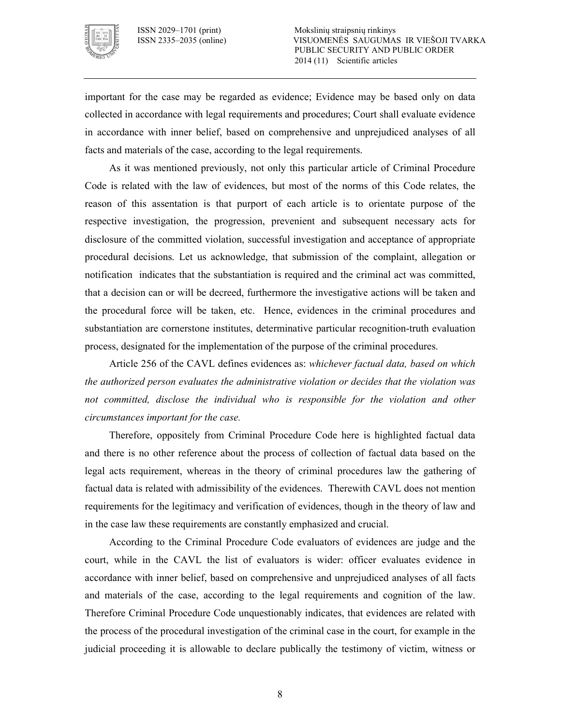

important for the case may be regarded as evidence; Evidence may be based only on data collected in accordance with legal requirements and procedures; Court shall evaluate evidence in accordance with inner belief, based on comprehensive and unprejudiced analyses of all facts and materials of the case, according to the legal requirements.

As it was mentioned previously, not only this particular article of Criminal Procedure Code is related with the law of evidences, but most of the norms of this Code relates, the reason of this assentation is that purport of each article is to orientate purpose of the respective investigation, the progression, prevenient and subsequent necessary acts for disclosure of the committed violation, successful investigation and acceptance of appropriate procedural decisions. Let us acknowledge, that submission of the complaint, allegation or notification indicates that the substantiation is required and the criminal act was committed, that a decision can or will be decreed, furthermore the investigative actions will be taken and the procedural force will be taken, etc. Hence, evidences in the criminal procedures and substantiation are cornerstone institutes, determinative particular recognition-truth evaluation process, designated for the implementation of the purpose of the criminal procedures.

Article 256 of the CAVL defines evidences as: *whichever factual data, based on which the authorized person evaluates the administrative violation or decides that the violation was not committed, disclose the individual who is responsible for the violation and other circumstances important for the case.* 

Therefore, oppositely from Criminal Procedure Code here is highlighted factual data and there is no other reference about the process of collection of factual data based on the legal acts requirement, whereas in the theory of criminal procedures law the gathering of factual data is related with admissibility of the evidences. Therewith CAVL does not mention requirements for the legitimacy and verification of evidences, though in the theory of law and in the case law these requirements are constantly emphasized and crucial.

According to the Criminal Procedure Code evaluators of evidences are judge and the court, while in the CAVL the list of evaluators is wider: officer evaluates evidence in accordance with inner belief, based on comprehensive and unprejudiced analyses of all facts and materials of the case, according to the legal requirements and cognition of the law. Therefore Criminal Procedure Code unquestionably indicates, that evidences are related with the process of the procedural investigation of the criminal case in the court, for example in the judicial proceeding it is allowable to declare publically the testimony of victim, witness or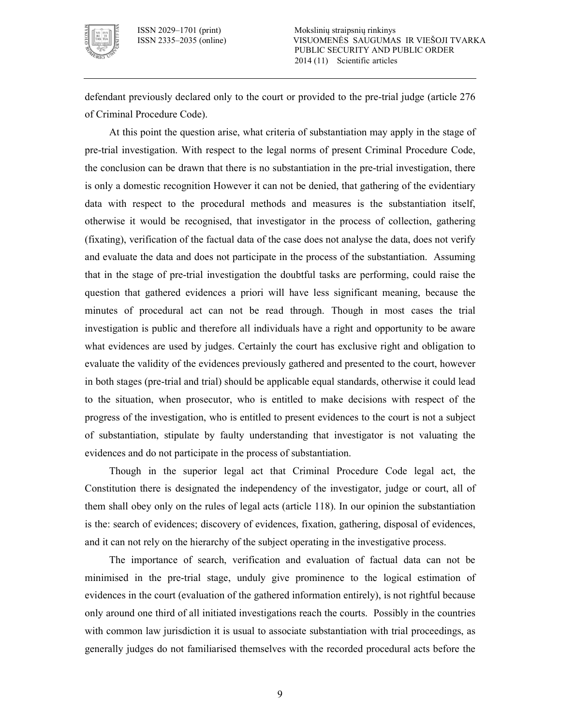

ISSN 2029–1701 (print) Mokslinių straipsnių rinkinys VISUOMENĖS SAUGUMAS IR VIEŠOJI TVARKA PUBLIC SECURITY AND PUBLIC ORDER 2014 (11) Scientific articles

defendant previously declared only to the court or provided to the pre-trial judge (article 276 of Criminal Procedure Code).

At this point the question arise, what criteria of substantiation may apply in the stage of pre-trial investigation. With respect to the legal norms of present Criminal Procedure Code, the conclusion can be drawn that there is no substantiation in the pre-trial investigation, there is only a domestic recognition However it can not be denied, that gathering of the evidentiary data with respect to the procedural methods and measures is the substantiation itself, otherwise it would be recognised, that investigator in the process of collection, gathering (fixating), verification of the factual data of the case does not analyse the data, does not verify and evaluate the data and does not participate in the process of the substantiation. Assuming that in the stage of pretrial investigation the doubtful tasks are performing, could raise the question that gathered evidences a priori will have less significant meaning, because the minutes of procedural act can not be read through. Though in most cases the trial investigation is public and therefore all individuals have a right and opportunity to be aware what evidences are used by judges. Certainly the court has exclusive right and obligation to evaluate the validity of the evidences previously gathered and presented to the court, however in both stages (pre-trial and trial) should be applicable equal standards, otherwise it could lead to the situation, when prosecutor, who is entitled to make decisions with respect of the progress of the investigation, who is entitled to present evidences to the court is not a subject of substantiation, stipulate by faulty understanding that investigator is not valuating the evidences and do not participate in the process of substantiation.

Though in the superior legal act that Criminal Procedure Code legal act, the Constitution there is designated the independency of the investigator, judge or court, all of them shall obey only on the rules of legal acts (article 118). In our opinion the substantiation is the: search of evidences; discovery of evidences, fixation, gathering, disposal of evidences, and it can not rely on the hierarchy of the subject operating in the investigative process.

The importance of search, verification and evaluation of factual data can not be minimised in the pre-trial stage, unduly give prominence to the logical estimation of evidences in the court (evaluation of the gathered information entirely), is not rightful because only around one third of all initiated investigations reach the courts. Possibly in the countries with common law jurisdiction it is usual to associate substantiation with trial proceedings, as generally judges do not familiarised themselves with the recorded procedural acts before the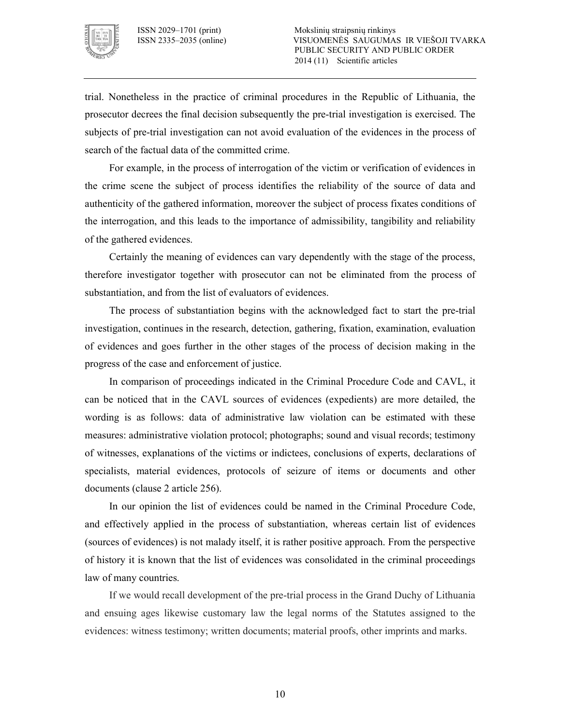

trial. Nonetheless in the practice of criminal procedures in the Republic of Lithuania, the prosecutor decrees the final decision subsequently the pre-trial investigation is exercised. The subjects of pre-trial investigation can not avoid evaluation of the evidences in the process of search of the factual data of the committed crime.

For example, in the process of interrogation of the victim or verification of evidences in the crime scene the subject of process identifies the reliability of the source of data and authenticity of the gathered information, moreover the subject of process fixates conditions of the interrogation, and this leads to the importance of admissibility, tangibility and reliability of the gathered evidences.

Certainly the meaning of evidences can vary dependently with the stage of the process, therefore investigator together with prosecutor can not be eliminated from the process of substantiation, and from the list of evaluators of evidences.

The process of substantiation begins with the acknowledged fact to start the pretrial investigation, continues in the research, detection, gathering, fixation, examination, evaluation of evidences and goes further in the other stages of the process of decision making in the progress of the case and enforcement of justice.

In comparison of proceedings indicated in the Criminal Procedure Code and CAVL, it can be noticed that in the CAVL sources of evidences (expedients) are more detailed, the wording is as follows: data of administrative law violation can be estimated with these measures: administrative violation protocol; photographs; sound and visual records; testimony of witnesses, explanations of the victims or indictees, conclusions of experts, declarations of specialists, material evidences, protocols of seizure of items or documents and other documents (clause 2 article 256).

In our opinion the list of evidences could be named in the Criminal Procedure Code, and effectively applied in the process of substantiation, whereas certain list of evidences (sources of evidences) is not malady itself, it is rather positive approach. From the perspective of history it is known that the list of evidences was consolidated in the criminal proceedings law of many countries.

If we would recall development of the pre-trial process in the Grand Duchy of Lithuania and ensuing ages likewise customary law the legal norms of the Statutes assigned to the evidences: witness testimony; written documents; material proofs, other imprints and marks.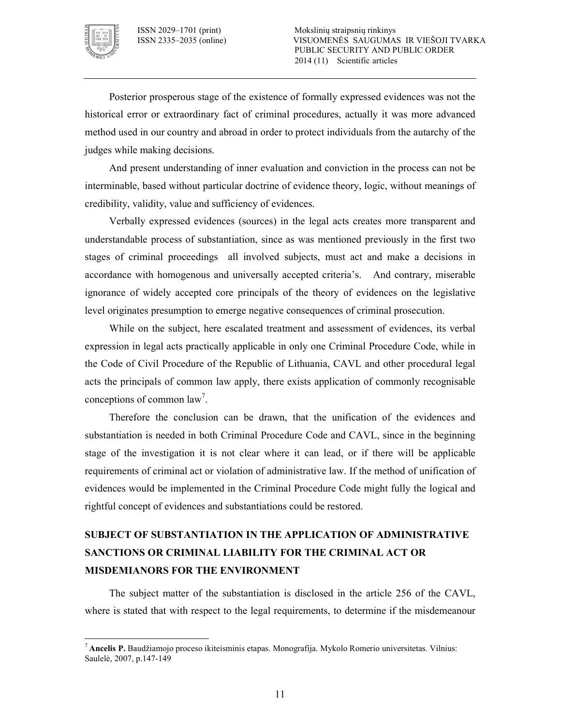

 $\ddot{\phantom{a}}$ 

Posterior prosperous stage of the existence of formally expressed evidences was not the historical error or extraordinary fact of criminal procedures, actually it was more advanced method used in our country and abroad in order to protect individuals from the autarchy of the judges while making decisions.

And present understanding of inner evaluation and conviction in the process can not be interminable, based without particular doctrine of evidence theory, logic, without meanings of credibility, validity, value and sufficiency of evidences.

Verbally expressed evidences (sources) in the legal acts creates more transparent and understandable process of substantiation, since as was mentioned previously in the first two stages of criminal proceedings all involved subjects, must act and make a decisions in accordance with homogenous and universally accepted criteria's. And contrary, miserable ignorance of widely accepted core principals of the theory of evidences on the legislative level originates presumption to emerge negative consequences of criminal prosecution.

While on the subject, here escalated treatment and assessment of evidences, its verbal expression in legal acts practically applicable in only one Criminal Procedure Code, while in the Code of Civil Procedure of the Republic of Lithuania, CAVL and other procedural legal acts the principals of common law apply, there exists application of commonly recognisable conceptions of common  $law<sup>7</sup>$ .

Therefore the conclusion can be drawn, that the unification of the evidences and substantiation is needed in both Criminal Procedure Code and CAVL, since in the beginning stage of the investigation it is not clear where it can lead, or if there will be applicable requirements of criminal act or violation of administrative law. If the method of unification of evidences would be implemented in the Criminal Procedure Code might fully the logical and rightful concept of evidences and substantiations could be restored.

# **SUBJECT OF SUBSTANTIATION IN THE APPLICATION OF ADMINISTRATIVE SANCTIONS OR CRIMINAL LIABILITY FOR THE CRIMINAL ACT OR MISDEMIANORS FOR THE ENVIRONMENT**

The subject matter of the substantiation is disclosed in the article 256 of the CAVL, where is stated that with respect to the legal requirements, to determine if the misdemeanour

<sup>7</sup>**Ancelis P.** Baudžiamojo proceso ikiteisminis etapas. Monografija. Mykolo Romerio universitetas. Vilnius: Saulelė, 2007, p.147-149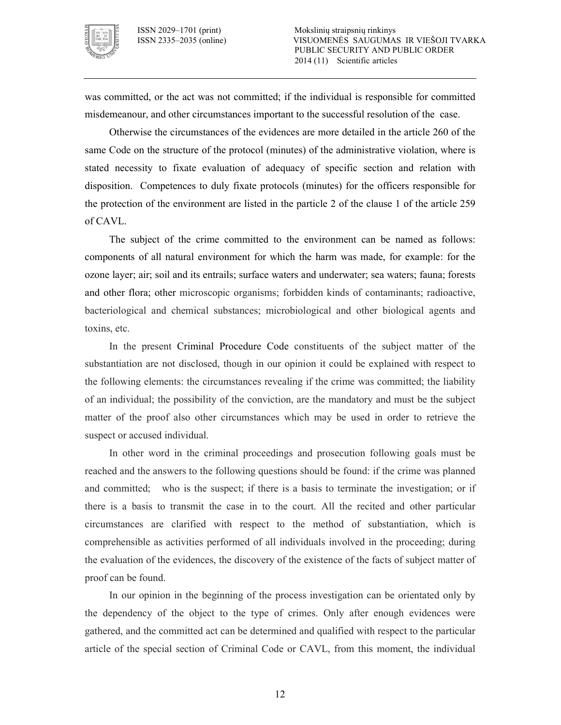

was committed, or the act was not committed; if the individual is responsible for committed misdemeanour, and other circumstances important to the successful resolution of the case.

Otherwise the circumstances of the evidences are more detailed in the article 260 of the same Code on the structure of the protocol (minutes) of the administrative violation, where is stated necessity to fixate evaluation of adequacy of specific section and relation with disposition. Competences to duly fixate protocols (minutes) for the officers responsible for the protection of the environment are listed in the particle 2 of the clause 1 of the article 259 of CAVL.

The subject of the crime committed to the environment can be named as follows: components of all natural environment for which the harm was made, for example: for the ozone layer; air; soil and its entrails; surface waters and underwater; sea waters; fauna; forests and other flora; other microscopic organisms; forbidden kinds of contaminants; radioactive, bacteriological and chemical substances; microbiological and other biological agents and toxins, etc.

In the present Criminal Procedure Code constituents of the subject matter of the substantiation are not disclosed, though in our opinion it could be explained with respect to the following elements: the circumstances revealing if the crime was committed; the liability of an individual; the possibility of the conviction, are the mandatory and must be the subject matter of the proof also other circumstances which may be used in order to retrieve the suspect or accused individual.

In other word in the criminal proceedings and prosecution following goals must be reached and the answers to the following questions should be found: if the crime was planned and committed; who is the suspect; if there is a basis to terminate the investigation; or if there is a basis to transmit the case in to the court. All the recited and other particular circumstances are clarified with respect to the method of substantiation, which is comprehensible as activities performed of all individuals involved in the proceeding; during the evaluation of the evidences, the discovery of the existence of the facts of subject matter of proof can be found.

In our opinion in the beginning of the process investigation can be orientated only by the dependency of the object to the type of crimes. Only after enough evidences were gathered, and the committed act can be determined and qualified with respect to the particular article of the special section of Criminal Code or CAVL, from this moment, the individual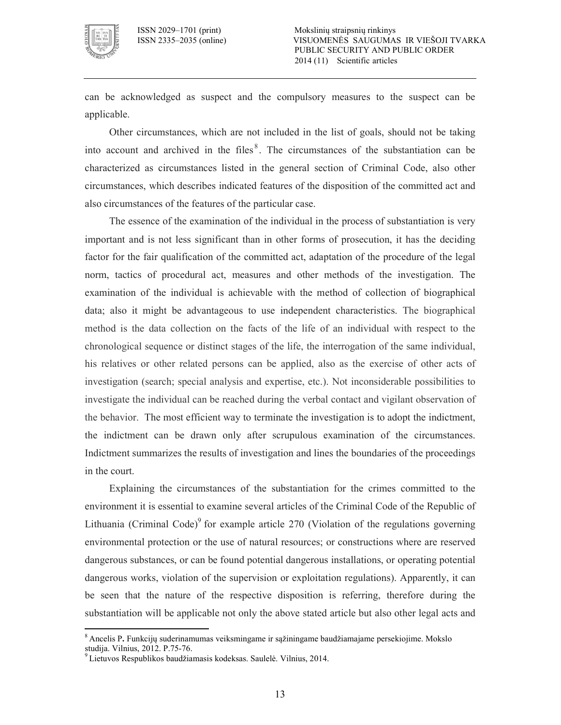

can be acknowledged as suspect and the compulsory measures to the suspect can be applicable.

Other circumstances, which are not included in the list of goals, should not be taking into account and archived in the files $<sup>8</sup>$ . The circumstances of the substantiation can be</sup> characterized as circumstances listed in the general section of Criminal Code, also other circumstances, which describes indicated features of the disposition of the committed act and also circumstances of the features of the particular case.

The essence of the examination of the individual in the process of substantiation is very important and is not less significant than in other forms of prosecution, it has the deciding factor for the fair qualification of the committed act, adaptation of the procedure of the legal norm, tactics of procedural act, measures and other methods of the investigation. The examination of the individual is achievable with the method of collection of biographical data; also it might be advantageous to use independent characteristics. The biographical method is the data collection on the facts of the life of an individual with respect to the chronological sequence or distinct stages of the life, the interrogation of the same individual, his relatives or other related persons can be applied, also as the exercise of other acts of investigation (search; special analysis and expertise, etc.). Not inconsiderable possibilities to investigate the individual can be reached during the verbal contact and vigilant observation of the behavior. The most efficient way to terminate the investigation is to adopt the indictment, the indictment can be drawn only after scrupulous examination of the circumstances. Indictment summarizes the results of investigation and lines the boundaries of the proceedings in the court.

Explaining the circumstances of the substantiation for the crimes committed to the environment it is essential to examine several articles of the Criminal Code of the Republic of Lithuania (Criminal Code) $\degree$  for example article 270 (Violation of the regulations governing environmental protection or the use of natural resources; or constructions where are reserved dangerous substances, or can be found potential dangerous installations, or operating potential dangerous works, violation of the supervision or exploitation regulations). Apparently, it can be seen that the nature of the respective disposition is referring, therefore during the substantiation will be applicable not only the above stated article but also other legal acts and

 $\ddot{\phantom{a}}$ 

<sup>8</sup>Ancelis P**.** Funkcijų suderinamumas veiksmingame ir sąžiningame baudžiamajame persekiojime. Mokslo studija. Vilnius, 2012. P.75-76.

<sup>9</sup>Lietuvos Respublikos baudžiamasis kodeksas. Saulelė. Vilnius, 2014.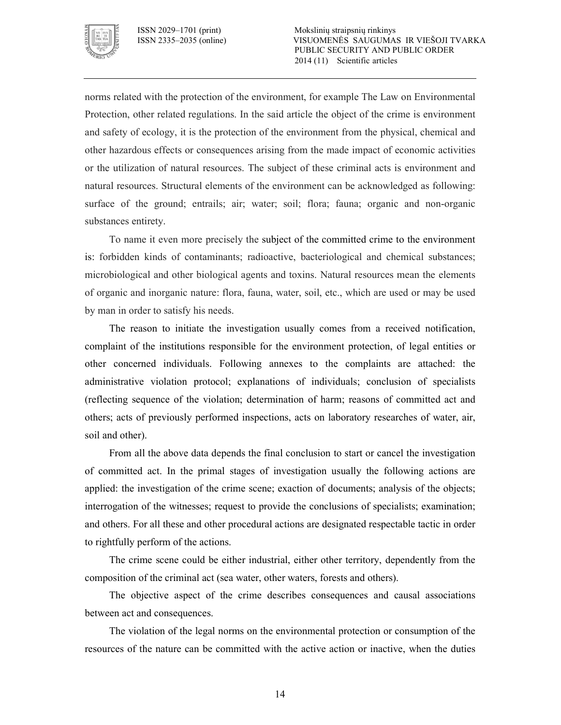

ISSN 2029–1701 (print)<br>ISSN 2335–2035 (online) Mokslinių straipsnių rinkinys<br>VISUOMENĖS SAUGUMA VISUOMENĖS SAUGUMAS IR VIEŠOJI TVARKA PUBLIC SECURITY AND PUBLIC ORDER 2014 (11) Scientific articles

norms related with the protection of the environment, for example The Law on Environmental Protection, other related regulations. In the said article the object of the crime is environment and safety of ecology, it is the protection of the environment from the physical, chemical and other hazardous effects or consequences arising from the made impact of economic activities or the utilization of natural resources. The subject of these criminal acts is environment and natural resources. Structural elements of the environment can be acknowledged as following: surface of the ground; entrails; air; water; soil; flora; fauna; organic and non-organic substances entirety.

To name it even more precisely the subject of the committed crime to the environment is: forbidden kinds of contaminants; radioactive, bacteriological and chemical substances; microbiological and other biological agents and toxins. Natural resources mean the elements of organic and inorganic nature: flora, fauna, water, soil, etc., which are used or may be used by man in order to satisfy his needs.

The reason to initiate the investigation usually comes from a received notification, complaint of the institutions responsible for the environment protection, of legal entities or other concerned individuals. Following annexes to the complaints are attached: the administrative violation protocol; explanations of individuals; conclusion of specialists (reflecting sequence of the violation; determination of harm; reasons of committed act and others; acts of previously performed inspections, acts on laboratory researches of water, air, soil and other).

From all the above data depends the final conclusion to start or cancel the investigation of committed act. In the primal stages of investigation usually the following actions are applied: the investigation of the crime scene; exaction of documents; analysis of the objects; interrogation of the witnesses; request to provide the conclusions of specialists; examination; and others. For all these and other procedural actions are designated respectable tactic in order to rightfully perform of the actions.

The crime scene could be either industrial, either other territory, dependently from the composition of the criminal act (sea water, other waters, forests and others).

The objective aspect of the crime describes consequences and causal associations between act and consequences.

The violation of the legal norms on the environmental protection or consumption of the resources of the nature can be committed with the active action or inactive, when the duties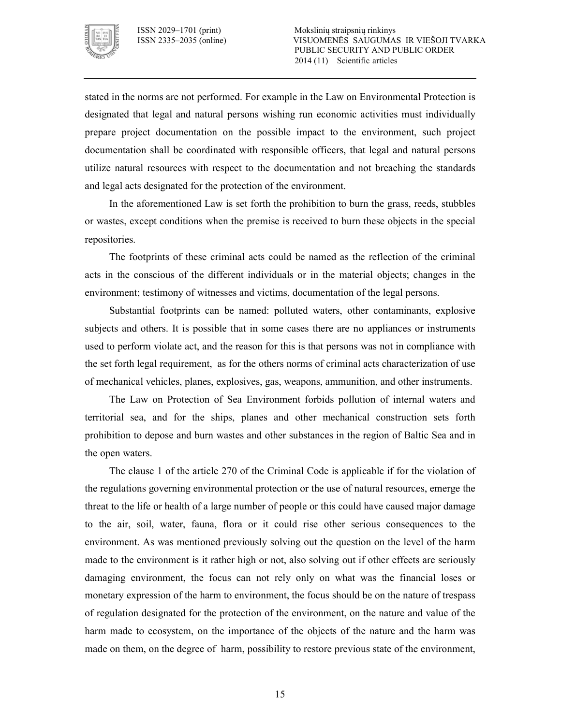

stated in the norms are not performed. For example in the Law on Environmental Protection is designated that legal and natural persons wishing run economic activities must individually prepare project documentation on the possible impact to the environment, such project documentation shall be coordinated with responsible officers, that legal and natural persons utilize natural resources with respect to the documentation and not breaching the standards and legal acts designated for the protection of the environment.

In the aforementioned Law is set forth the prohibition to burn the grass, reeds, stubbles or wastes, except conditions when the premise is received to burn these objects in the special repositories.

The footprints of these criminal acts could be named as the reflection of the criminal acts in the conscious of the different individuals or in the material objects; changes in the environment; testimony of witnesses and victims, documentation of the legal persons.

Substantial footprints can be named: polluted waters, other contaminants, explosive subjects and others. It is possible that in some cases there are no appliances or instruments used to perform violate act, and the reason for this is that persons was not in compliance with the set forth legal requirement, as for the others norms of criminal acts characterization of use of mechanical vehicles, planes, explosives, gas, weapons, ammunition, and other instruments.

The Law on Protection of Sea Environment forbids pollution of internal waters and territorial sea, and for the ships, planes and other mechanical construction sets forth prohibition to depose and burn wastes and other substances in the region of Baltic Sea and in the open waters.

The clause 1 of the article 270 of the Criminal Code is applicable if for the violation of the regulations governing environmental protection or the use of natural resources, emerge the threat to the life or health of a large number of people or this could have caused major damage to the air, soil, water, fauna, flora or it could rise other serious consequences to the environment. As was mentioned previously solving out the question on the level of the harm made to the environment is it rather high or not, also solving out if other effects are seriously damaging environment, the focus can not rely only on what was the financial loses or monetary expression of the harm to environment, the focus should be on the nature of trespass of regulation designated for the protection of the environment, on the nature and value of the harm made to ecosystem, on the importance of the objects of the nature and the harm was made on them, on the degree of harm, possibility to restore previous state of the environment,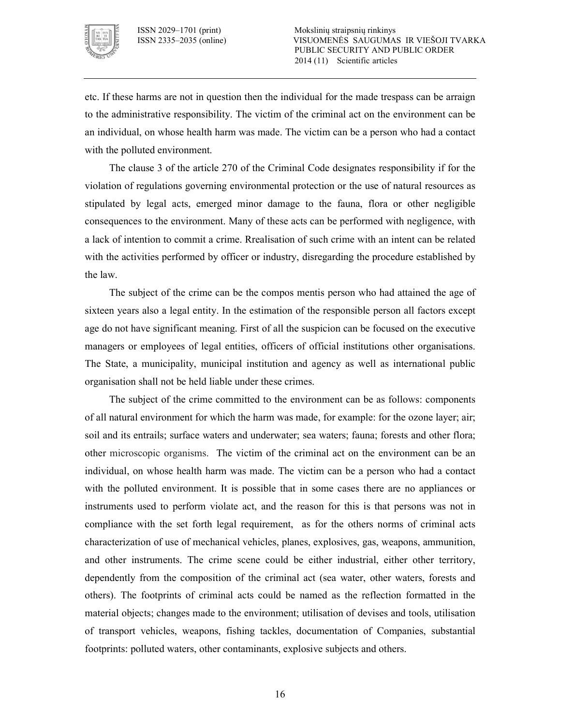

etc. If these harms are not in question then the individual for the made trespass can be arraign to the administrative responsibility. The victim of the criminal act on the environment can be an individual, on whose health harm was made. The victim can be a person who had a contact with the polluted environment.

The clause 3 of the article 270 of the Criminal Code designates responsibility if for the violation of regulations governing environmental protection or the use of natural resources as stipulated by legal acts, emerged minor damage to the fauna, flora or other negligible consequences to the environment. Many of these acts can be performed with negligence, with a lack of intention to commit a crime. Rrealisation of such crime with an intent can be related with the activities performed by officer or industry, disregarding the procedure established by the law.

The subject of the crime can be the compos mentis person who had attained the age of sixteen years also a legal entity. In the estimation of the responsible person all factors except age do not have significant meaning. First of all the suspicion can be focused on the executive managers or employees of legal entities, officers of official institutions other organisations. The State, a municipality, municipal institution and agency as well as international public organisation shall not be held liable under these crimes.

The subject of the crime committed to the environment can be as follows: components of all natural environment for which the harm was made, for example: for the ozone layer; air; soil and its entrails; surface waters and underwater; sea waters; fauna; forests and other flora; other microscopic organisms. The victim of the criminal act on the environment can be an individual, on whose health harm was made. The victim can be a person who had a contact with the polluted environment. It is possible that in some cases there are no appliances or instruments used to perform violate act, and the reason for this is that persons was not in compliance with the set forth legal requirement, as for the others norms of criminal acts characterization of use of mechanical vehicles, planes, explosives, gas, weapons, ammunition, and other instruments. The crime scene could be either industrial, either other territory, dependently from the composition of the criminal act (sea water, other waters, forests and others). The footprints of criminal acts could be named as the reflection formatted in the material objects; changes made to the environment; utilisation of devises and tools, utilisation of transport vehicles, weapons, fishing tackles, documentation of Companies, substantial footprints: polluted waters, other contaminants, explosive subjects and others.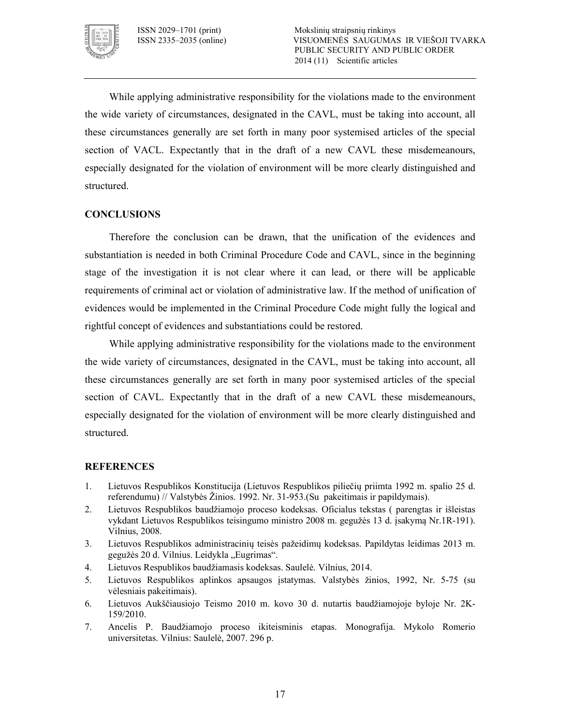

While applying administrative responsibility for the violations made to the environment the wide variety of circumstances, designated in the CAVL, must be taking into account, all these circumstances generally are set forth in many poor systemised articles of the special section of VACL. Expectantly that in the draft of a new CAVL these misdemeanours, especially designated for the violation of environment will be more clearly distinguished and structured.

# **CONCLUSIONS**

Therefore the conclusion can be drawn, that the unification of the evidences and substantiation is needed in both Criminal Procedure Code and CAVL, since in the beginning stage of the investigation it is not clear where it can lead, or there will be applicable requirements of criminal act or violation of administrative law. If the method of unification of evidences would be implemented in the Criminal Procedure Code might fully the logical and rightful concept of evidences and substantiations could be restored.

While applying administrative responsibility for the violations made to the environment the wide variety of circumstances, designated in the CAVL, must be taking into account, all these circumstances generally are set forth in many poor systemised articles of the special section of CAVL. Expectantly that in the draft of a new CAVL these misdemeanours, especially designated for the violation of environment will be more clearly distinguished and structured.

# **REFERENCES**

- 1. Lietuvos Respublikos Konstitucija (Lietuvos Respublikos piliečių priimta 1992 m. spalio 25 d. referendumu) // Valstybės Žinios. 1992. Nr. 31-953. (Su pakeitimais ir papildymais).
- 2. Lietuvos Respublikos baudžiamojo proceso kodeksas. Oficialus tekstas ( parengtas ir išleistas vykdant Lietuvos Respublikos teisingumo ministro 2008 m. gegužės 13 d. įsakymą Nr.1R191). Vilnius, 2008.
- 3. Lietuvos Respublikos administracinių teisės pažeidimų kodeksas. Papildytas leidimas 2013 m. gegužės 20 d. Vilnius. Leidykla "Eugrimas".
- 4. Lietuvos Respublikos baudžiamasis kodeksas. Saulelė. Vilnius, 2014.
- 5. Lietuvos Respublikos aplinkos apsaugos įstatymas. Valstybės žinios, 1992, Nr. 575 (su vėlesniais pakeitimais).
- 6. Lietuvos Aukščiausiojo Teismo 2010 m. kovo 30 d. nutartis baudžiamojoje byloje Nr. 2K 159/2010.
- 7. Ancelis P. Baudžiamojo proceso ikiteisminis etapas. Monografija. Mykolo Romerio universitetas. Vilnius: Saulelė, 2007. 296 p.